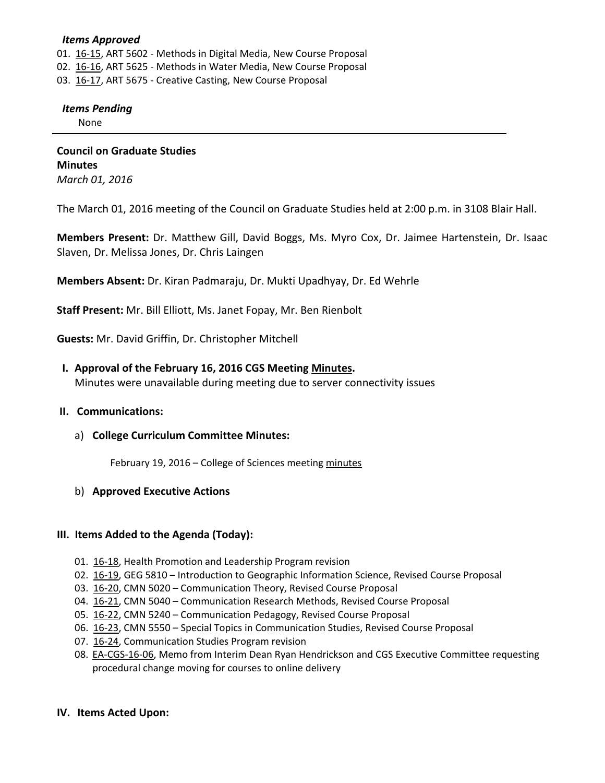## *Items Approved*

01[. 16](http://castle.eiu.edu/~eiucgs/currentagendaitems/agenda16-15.pdf)-15, ART 5602 - Methods in Digital Media, New Course Proposal

- 02. [16](http://castle.eiu.edu/~eiucgs/currentagendaitems/agenda16-16.pdf)‐16, ART 5625 ‐ Methods in Water Media, New Course Proposal
- 03. [16](http://castle.eiu.edu/~eiucgs/currentagendaitems/agenda16-17.pdf)-17, ART 5675 Creative Casting, New Course Proposal

#### *Items Pending*

None

**Council on Graduate Studies Minutes** *March 01, 2016*

The March 01, 2016 meeting of the Council on Graduate Studies held at 2:00 p.m. in 3108 Blair Hall.

**Members Present:** Dr. Matthew Gill, David Boggs, Ms. Myro Cox, Dr. Jaimee Hartenstein, Dr. Isaac Slaven, Dr. Melissa Jones, Dr. Chris Laingen

**Members Absent:** Dr. Kiran Padmaraju, Dr. Mukti Upadhyay, Dr. Ed Wehrle

**Staff Present:** Mr. Bill Elliott, Ms. Janet Fopay, Mr. Ben Rienbolt

**Guests:** Mr. David Griffin, Dr. Christopher Mitchell

## **I. Approval of the February 16, 2016 CGS Meeting [Minutes.](http://castle.eiu.edu/eiucgs/currentminutes/Minutes02-16-16.pdf)**

Minutes were unavailable during meeting due to server connectivity issues

#### **II. Communications:**

## a) **College Curriculum Committee Minutes:**

February 19, 2016 – College of Sciences meeting [minutes](http://www.eiu.edu/colsci/coscc/minutes_2016/Minutes_2_19_16.pdf)

## b) **Approved Executive Actions**

## **III. Items Added to the Agenda (Today):**

- 01. 16‐[18,](http://castle.eiu.edu/~eiucgs/currentagendaitems/agenda16-18.pdf) Health Promotion and Leadership Program revision
- 02[. 16](http://castle.eiu.edu/~eiucgs/currentagendaitems/agenda16-19.pdf)-19, GEG 5810 Introduction to Geographic Information Science, Revised Course Proposal
- 03. [16](http://castle.eiu.edu/~eiucgs/currentagendaitems/agenda16-20.pdf)‐20, CMN 5020 Communication Theory, Revised Course Proposal
- 04. 16-[21,](http://castle.eiu.edu/~eiucgs/currentagendaitems/agenda16-21.pdf) CMN 5040 Communication Research Methods, Revised Course Proposal
- 05. 16-[22,](http://castle.eiu.edu/~eiucgs/currentagendaitems/agenda16-22.pdf) CMN 5240 Communication Pedagogy, Revised Course Proposal
- 06. 16‐[23,](http://castle.eiu.edu/~eiucgs/currentagendaitems/agenda16-23.pdf) CMN 5550 Special Topics in Communication Studies, Revised Course Proposal
- 07. 16-[24,](http://castle.eiu.edu/~eiucgs/currentagendaitems/agenda16-24.pdf) Communication Studies Program revision
- 08. EA‐[CGS](http://castle.eiu.edu/~eiucgs/exec-actions/EA-CGS-16-06.pdf)‐16‐06, Memo from Interim Dean Ryan Hendrickson and CGS Executive Committee requesting procedural change moving for courses to online delivery

## **IV. Items Acted Upon:**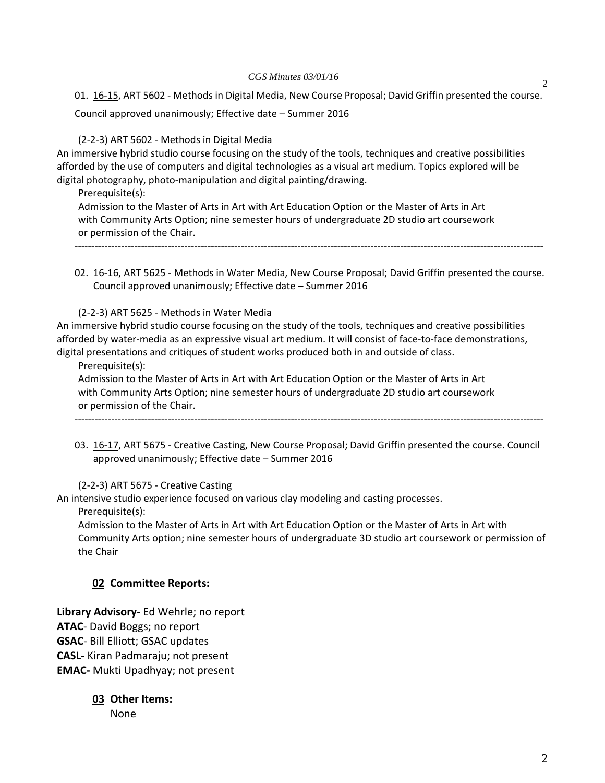01. 16‐[15,](http://castle.eiu.edu/~eiucgs/currentagendaitems/agenda16-15.pdf) ART 5602 ‐ Methods in Digital Media, New Course Proposal; David Griffin presented the course. Council approved unanimously; Effective date – Summer 2016

(2‐2‐3) ART 5602 ‐ Methods in Digital Media

An immersive hybrid studio course focusing on the study of the tools, techniques and creative possibilities afforded by the use of computers and digital technologies as a visual art medium. Topics explored will be digital photography, photo‐manipulation and digital painting/drawing.

Prerequisite(s):

Admission to the Master of Arts in Art with Art Education Option or the Master of Arts in Art with Community Arts Option; nine semester hours of undergraduate 2D studio art coursework or permission of the Chair.

‐‐‐‐‐‐‐‐‐‐‐‐‐‐‐‐‐‐‐‐‐‐‐‐‐‐‐‐‐‐‐‐‐‐‐‐‐‐‐‐‐‐‐‐‐‐‐‐‐‐‐‐‐‐‐‐‐‐‐‐‐‐‐‐‐‐‐‐‐‐‐‐‐‐‐‐‐‐‐‐‐‐‐‐‐‐‐‐‐‐‐‐‐‐‐‐‐‐‐‐‐‐‐‐‐‐‐‐‐‐‐‐‐‐‐‐‐‐‐‐‐‐‐‐‐‐‐‐‐‐‐‐‐‐‐‐‐‐‐‐‐

02. 16‐[16,](http://castle.eiu.edu/~eiucgs/currentagendaitems/agenda16-16.pdf) ART 5625 ‐ Methods in Water Media, New Course Proposal; David Griffin presented the course. Council approved unanimously; Effective date – Summer 2016

(2‐2‐3) ART 5625 ‐ Methods in Water Media

An immersive hybrid studio course focusing on the study of the tools, techniques and creative possibilities afforded by water‐media as an expressive visual art medium. It will consist of face‐to‐face demonstrations, digital presentations and critiques of student works produced both in and outside of class.

Prerequisite(s):

Admission to the Master of Arts in Art with Art Education Option or the Master of Arts in Art with Community Arts Option; nine semester hours of undergraduate 2D studio art coursework or permission of the Chair.

03. 16‐[17,](http://castle.eiu.edu/~eiucgs/currentagendaitems/agenda16-17.pdf) ART 5675 ‐ Creative Casting, New Course Proposal; David Griffin presented the course. Council approved unanimously; Effective date – Summer 2016

‐‐‐‐‐‐‐‐‐‐‐‐‐‐‐‐‐‐‐‐‐‐‐‐‐‐‐‐‐‐‐‐‐‐‐‐‐‐‐‐‐‐‐‐‐‐‐‐‐‐‐‐‐‐‐‐‐‐‐‐‐‐‐‐‐‐‐‐‐‐‐‐‐‐‐‐‐‐‐‐‐‐‐‐‐‐‐‐‐‐‐‐‐‐‐‐‐‐‐‐‐‐‐‐‐‐‐‐‐‐‐‐‐‐‐‐‐‐‐‐‐‐‐‐‐‐‐‐‐‐‐‐‐‐‐‐‐‐‐‐‐

(2‐2‐3) ART 5675 ‐ Creative Casting

An intensive studio experience focused on various clay modeling and casting processes.

Prerequisite(s):

Admission to the Master of Arts in Art with Art Education Option or the Master of Arts in Art with Community Arts option; nine semester hours of undergraduate 3D studio art coursework or permission of the Chair

## **02 Committee Reports:**

**Library Advisory**‐ Ed Wehrle; no report **ATAC**‐ David Boggs; no report **GSAC**‐ Bill Elliott; GSAC updates **CASL‐** Kiran Padmaraju; not present **EMAC‐** Mukti Upadhyay; not present

> **03 Other Items:**  None

2